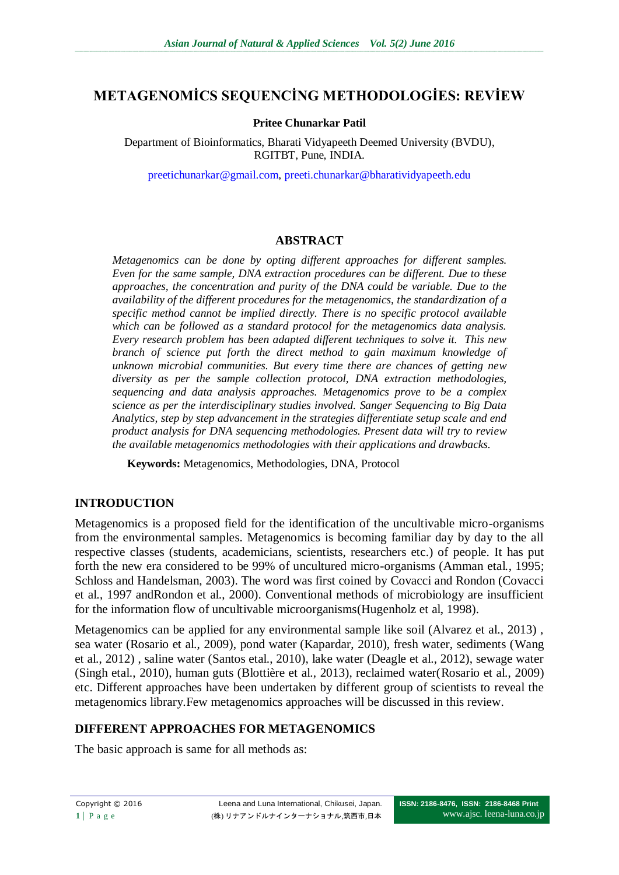# **METAGENOMİCS SEQUENCİNG METHODOLOGİES: REVİEW**

#### **Pritee Chunarkar Patil**

Department of Bioinformatics, Bharati Vidyapeeth Deemed University (BVDU), RGITBT, Pune, INDIA.

[preetichunarkar@gmail.com,](mailto:preetichunarkar@gmail.com) [preeti.chunarkar@bharatividyapeeth.edu](mailto:preeti.chunarkar@bharatividyapeeth.edu)

### **ABSTRACT**

*Metagenomics can be done by opting different approaches for different samples. Even for the same sample, DNA extraction procedures can be different. Due to these approaches, the concentration and purity of the DNA could be variable. Due to the availability of the different procedures for the metagenomics, the standardization of a specific method cannot be implied directly. There is no specific protocol available which can be followed as a standard protocol for the metagenomics data analysis. Every research problem has been adapted different techniques to solve it. This new branch of science put forth the direct method to gain maximum knowledge of unknown microbial communities. But every time there are chances of getting new diversity as per the sample collection protocol, DNA extraction methodologies, sequencing and data analysis approaches. Metagenomics prove to be a complex science as per the interdisciplinary studies involved. Sanger Sequencing to Big Data Analytics, step by step advancement in the strategies differentiate setup scale and end product analysis for DNA sequencing methodologies. Present data will try to review the available metagenomics methodologies with their applications and drawbacks.*

**Keywords:** Metagenomics, Methodologies, DNA, Protocol

#### **INTRODUCTION**

Metagenomics is a proposed field for the identification of the uncultivable micro-organisms from the environmental samples. Metagenomics is becoming familiar day by day to the all respective classes (students, academicians, scientists, researchers etc.) of people. It has put forth the new era considered to be 99% of uncultured micro-organisms (Amman etal*.*, 1995; Schloss and Handelsman, 2003). The word was first coined by Covacci and Rondon (Covacci et al., 1997 andRondon et al., 2000). Conventional methods of microbiology are insufficient for the information flow of uncultivable microorganisms(Hugenholz et al, 1998).

Metagenomics can be applied for any environmental sample like soil (Alvarez et al., 2013) , sea water (Rosario et al., 2009), pond water (Kapardar, 2010), fresh water, sediments [\(Wang](http://www.ncbi.nlm.nih.gov/pubmed?term=Wang%20Y%5BAuthor%5D&cauthor=true&cauthor_uid=23001654)  et al., 2012) , saline water [\(Santos e](http://www.ncbi.nlm.nih.gov/pubmed?term=Santos%20F%5BAuthor%5D&cauthor=true&cauthor_uid=20561021)tal., 2010), lake water (Deagle et al., 2012), sewage water (Singh etal., 2010), human guts (Blottière et al., 2013), reclaimed water(Rosario et al., 2009) etc. Different approaches have been undertaken by different group of scientists to reveal the metagenomics library.Few metagenomics approaches will be discussed in this review.

# **DIFFERENT APPROACHES FOR METAGENOMICS**

The basic approach is same for all methods as: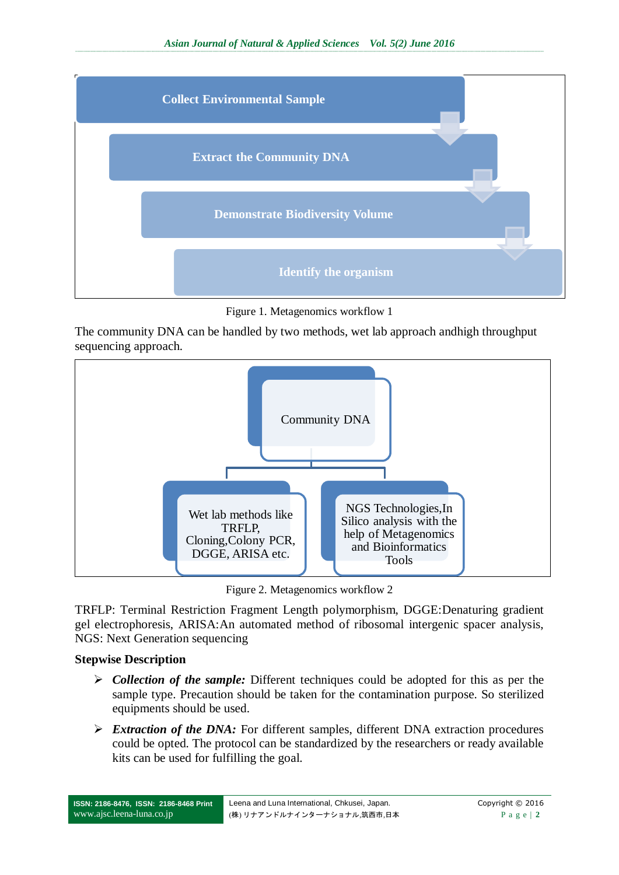

Figure 1. Metagenomics workflow 1

The community DNA can be handled by two methods, wet lab approach andhigh throughput sequencing approach.



Figure 2. Metagenomics workflow 2

TRFLP: Terminal Restriction Fragment Length polymorphism, DGGE:Denaturing gradient gel electrophoresis, ARISA:An automated method of ribosomal intergenic spacer analysis, NGS: Next Generation sequencing

# **Stepwise Description**

- *Collection of the sample:* Different techniques could be adopted for this as per the sample type. Precaution should be taken for the contamination purpose. So sterilized equipments should be used.
- *Extraction of the DNA:* For different samples, different DNA extraction procedures could be opted. The protocol can be standardized by the researchers or ready available kits can be used for fulfilling the goal.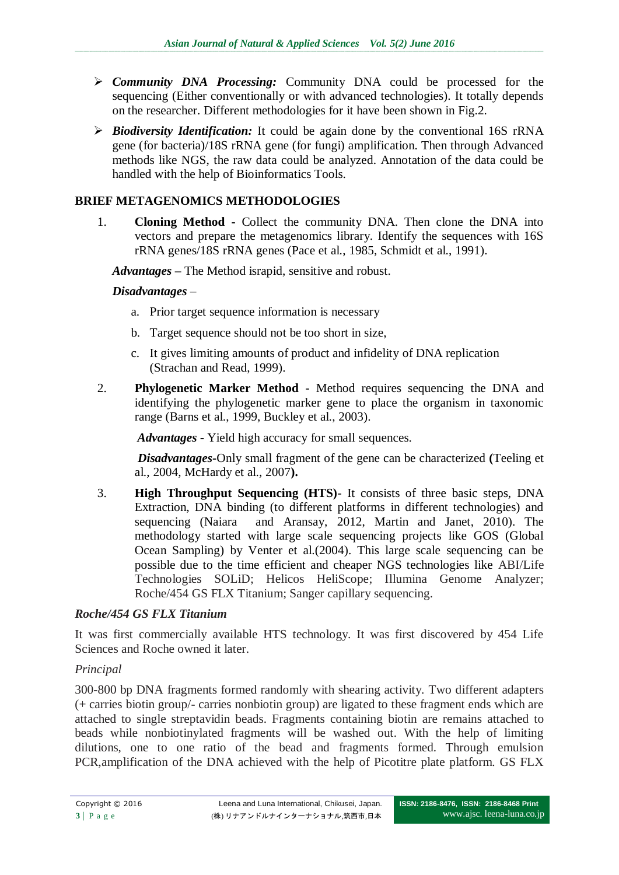- *Community DNA Processing:* Community DNA could be processed for the sequencing (Either conventionally or with advanced technologies). It totally depends on the researcher. Different methodologies for it have been shown in Fig.2.
- *Biodiversity Identification:* It could be again done by the conventional 16S rRNA gene (for bacteria)/18S rRNA gene (for fungi) amplification. Then through Advanced methods like NGS, the raw data could be analyzed. Annotation of the data could be handled with the help of Bioinformatics Tools.

# **BRIEF METAGENOMICS METHODOLOGIES**

1. **Cloning Method -** Collect the community DNA. Then clone the DNA into vectors and prepare the metagenomics library. Identify the sequences with 16S rRNA genes/18S rRNA genes (Pace et al., 1985, Schmidt et al., 1991).

*Advantages –* The Method israpid, sensitive and robust.

### *Disadvantages –*

- a. Prior target sequence information is necessary
- b. Target sequence should not be too short in size,
- c. It gives limiting amounts of product and infidelity of DNA replication (Strachan and Read, 1999).
- 2. **Phylogenetic Marker Method** Method requires sequencing the DNA and identifying the phylogenetic marker gene to place the organism in taxonomic range (Barns et al., 1999, Buckley et al., 2003).

 *Advantages -* Yield high accuracy for small sequences.

 *Disadvantages***-**Only small fragment of the gene can be characterized **(**Teeling et al., 2004, McHardy et al., 2007**).**

3. **High Throughput Sequencing (HTS)**- It consists of three basic steps, DNA Extraction, DNA binding (to different platforms in different technologies) and sequencing (Naiara and Aransay, 2012, Martin and Janet, 2010). The methodology started with large scale sequencing projects like GOS (Global Ocean Sampling) by Venter et al.(2004). This large scale sequencing can be possible due to the time efficient and cheaper NGS technologies like ABI/Life Technologies SOLiD; Helicos HeliScope; Illumina Genome Analyzer; Roche/454 GS FLX Titanium; Sanger capillary sequencing.

# *Roche/454 GS FLX Titanium*

It was first commercially available HTS technology. It was first discovered by 454 Life Sciences and Roche owned it later.

#### *Principal*

300-800 bp DNA fragments formed randomly with shearing activity. Two different adapters (+ carries biotin group/- carries nonbiotin group) are ligated to these fragment ends which are attached to single streptavidin beads. Fragments containing biotin are remains attached to beads while nonbiotinylated fragments will be washed out. With the help of limiting dilutions, one to one ratio of the bead and fragments formed. Through emulsion PCR,amplification of the DNA achieved with the help of Picotitre plate platform. GS FLX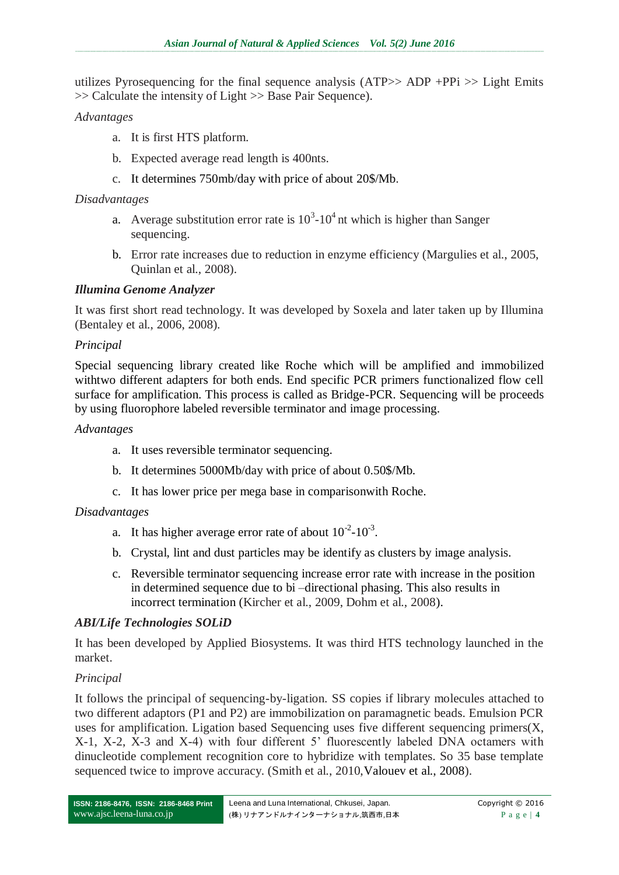utilizes Pyrosequencing for the final sequence analysis ( $ATP>> ADP + PPi >> Light Emits$ >> Calculate the intensity of Light >> Base Pair Sequence).

### *Advantages*

- a. It is first HTS platform.
- b. Expected average read length is 400nts.
- c. It determines 750mb/day with price of about 20\$/Mb.

#### *Disadvantages*

- a. Average substitution error rate is  $10^3$ -10<sup>4</sup> nt which is higher than Sanger sequencing.
- b. Error rate increases due to reduction in enzyme efficiency (Margulies et al., 2005, Quinlan et al., 2008).

#### *Illumina Genome Analyzer*

It was first short read technology. It was developed by Soxela and later taken up by Illumina (Bentaley et al., 2006, 2008).

#### *Principal*

Special sequencing library created like Roche which will be amplified and immobilized withtwo different adapters for both ends. End specific PCR primers functionalized flow cell surface for amplification. This process is called as Bridge-PCR. Sequencing will be proceeds by using fluorophore labeled reversible terminator and image processing.

#### *Advantages*

- a. It uses reversible terminator sequencing.
- b. It determines 5000Mb/day with price of about 0.50\$/Mb.
- c. It has lower price per mega base in comparisonwith Roche.

#### *Disadvantages*

- a. It has higher average error rate of about  $10^{-2}$ - $10^{-3}$ .
- b. Crystal, lint and dust particles may be identify as clusters by image analysis.
- c. Reversible terminator sequencing increase error rate with increase in the position in determined sequence due to bi –directional phasing. This also results in incorrect termination (Kircher et al., 2009, Dohm et al., 2008).

#### *ABI/Life Technologies SOLiD*

It has been developed by Applied Biosystems. It was third HTS technology launched in the market.

#### *Principal*

It follows the principal of sequencing-by-ligation. SS copies if library molecules attached to two different adaptors (P1 and P2) are immobilization on paramagnetic beads. Emulsion PCR uses for amplification. Ligation based Sequencing uses five different sequencing primers(X, X-1, X-2, X-3 and X-4) with four different 5' fluorescently labeled DNA octamers with dinucleotide complement recognition core to hybridize with templates. So 35 base template sequenced twice to improve accuracy. (Smith et al., 2010, Valouev et al., 2008).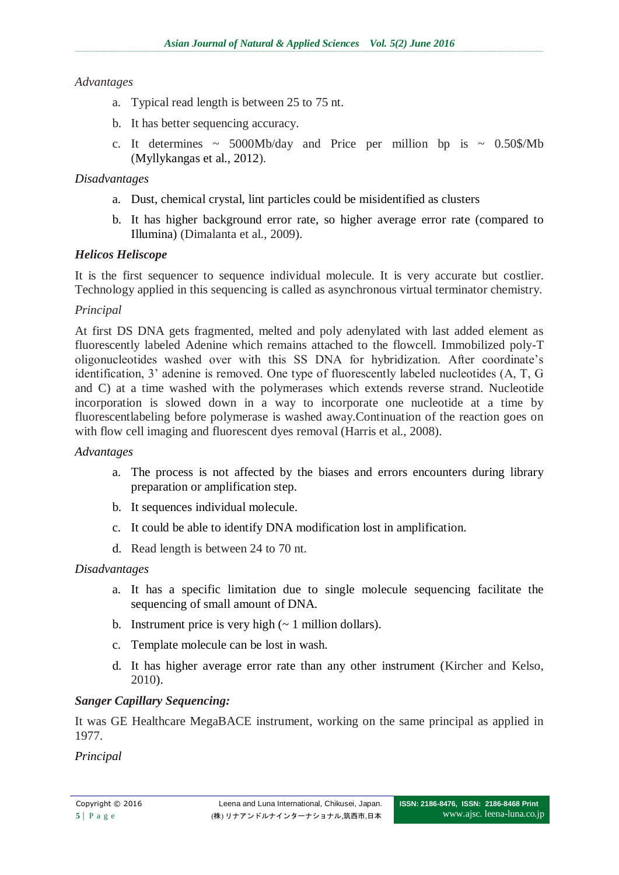### *Advantages*

- a. Typical read length is between 25 to 75 nt.
- b. It has better sequencing accuracy.
- c. It determines  $\sim 5000 \text{Mb/day}$  and Price per million bp is  $\sim 0.50\frac{\text{g}}{\text{Mb}}$ (Myllykangas et al., 2012).

### *Disadvantages*

- a. Dust, chemical crystal, lint particles could be misidentified as clusters
- b. It has higher background error rate, so higher average error rate (compared to Illumina) (Dimalanta et al., 2009).

### *Helicos Heliscope*

It is the first sequencer to sequence individual molecule. It is very accurate but costlier. Technology applied in this sequencing is called as asynchronous virtual terminator chemistry.

#### *Principal*

At first DS DNA gets fragmented, melted and poly adenylated with last added element as fluorescently labeled Adenine which remains attached to the flowcell. Immobilized poly-T oligonucleotides washed over with this SS DNA for hybridization. After coordinate's identification, 3' adenine is removed. One type of fluorescently labeled nucleotides (A, T, G and C) at a time washed with the polymerases which extends reverse strand. Nucleotide incorporation is slowed down in a way to incorporate one nucleotide at a time by fluorescentlabeling before polymerase is washed away.Continuation of the reaction goes on with flow cell imaging and fluorescent dyes removal (Harris et al., 2008).

#### *Advantages*

- a. The process is not affected by the biases and errors encounters during library preparation or amplification step.
- b. It sequences individual molecule.
- c. It could be able to identify DNA modification lost in amplification.
- d. Read length is between 24 to 70 nt.

#### *Disadvantages*

- a. It has a specific limitation due to single molecule sequencing facilitate the sequencing of small amount of DNA.
- b. Instrument price is very high  $($   $\sim$  1 million dollars).
- c. Template molecule can be lost in wash.
- d. It has higher average error rate than any other instrument (Kircher and Kelso, 2010).

#### *Sanger Capillary Sequencing:*

It was GE Healthcare MegaBACE instrument, working on the same principal as applied in 1977.

*Principal*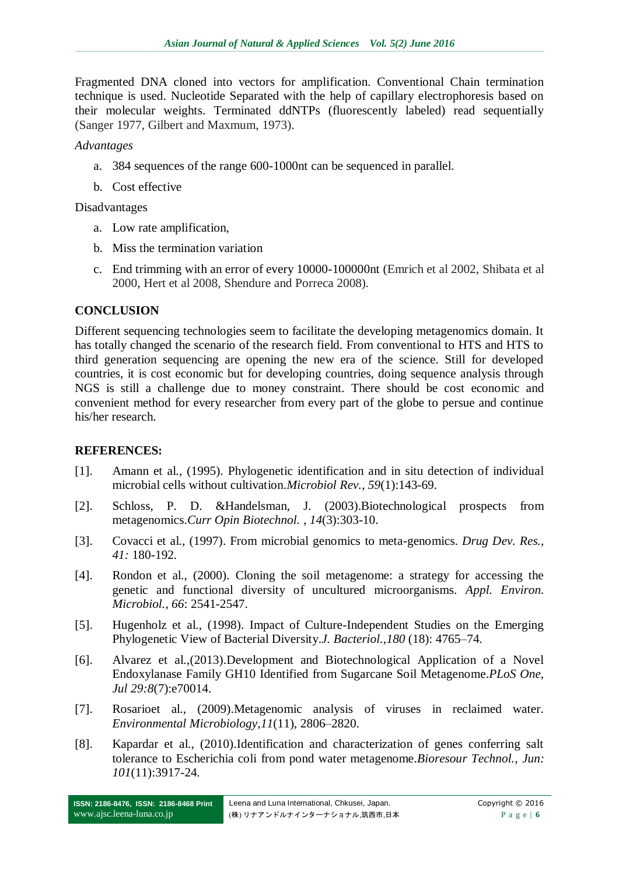Fragmented DNA cloned into vectors for amplification. Conventional Chain termination technique is used. Nucleotide Separated with the help of capillary electrophoresis based on their molecular weights. Terminated ddNTPs (fluorescently labeled) read sequentially (Sanger 1977, Gilbert and Maxmum, 1973).

*Advantages*

- a. 384 sequences of the range 600-1000nt can be sequenced in parallel.
- b. Cost effective

### Disadvantages

- a. Low rate amplification,
- b. Miss the termination variation
- c. End trimming with an error of every 10000-100000nt (Emrich et al 2002, Shibata et al 2000, Hert et al 2008, Shendure and Porreca 2008).

# **CONCLUSION**

Different sequencing technologies seem to facilitate the developing metagenomics domain. It has totally changed the scenario of the research field. From conventional to HTS and HTS to third generation sequencing are opening the new era of the science. Still for developed countries, it is cost economic but for developing countries, doing sequence analysis through NGS is still a challenge due to money constraint. There should be cost economic and convenient method for every researcher from every part of the globe to persue and continue his/her research.

# **REFERENCES:**

- [1]. Amann [et al., \(1995\).](http://www.ncbi.nlm.nih.gov/pubmed?term=Amann%20RI%5BAuthor%5D&cauthor=true&cauthor_uid=7535888) Phylogenetic identification and in situ detection of individual microbial cells without cultivation.*[Microbiol Rev.,](http://www.ncbi.nlm.nih.gov/pubmed/7535888) 59*(1):143-69.
- [2]. [Schloss,](http://www.ncbi.nlm.nih.gov/pubmed?term=Schloss%20PD%5BAuthor%5D&cauthor=true&cauthor_uid=12849784) P. D. [&Handelsman,](http://www.ncbi.nlm.nih.gov/pubmed?term=Handelsman%20J%5BAuthor%5D&cauthor=true&cauthor_uid=12849784) J. (2003).Biotechnological prospects from metagenomics.*[Curr Opin Biotechnol.](http://www.ncbi.nlm.nih.gov/pubmed/?term=Schloss+and+Handelsman%2C+2003) , 14*(3):303-10.
- [3]. Covacci et al., (1997). From microbial genomics to meta-genomics. *Drug Dev. Res., 41:* 180-192.
- [4]. Rondon et al., (2000). Cloning the soil metagenome: a strategy for accessing the genetic and functional diversity of uncultured microorganisms. *Appl. Environ. Microbiol., 66*: 2541-2547.
- [5]. Hugenholz et al., (1998). [Impact of Culture-Independent Studies on the Emerging](http://www.ncbi.nlm.nih.gov/pmc/articles/PMC107498)  [Phylogenetic View of Bacterial Diversity.](http://www.ncbi.nlm.nih.gov/pmc/articles/PMC107498)*J. Bacteriol.,180* (18): 4765–74.
- [6]. [Alvarez](http://www.ncbi.nlm.nih.gov/pubmed?term=Alvarez%20TM%5BAuthor%5D&cauthor=true&cauthor_uid=23922891) et al.,(2013).Development and Biotechnological Application of a Novel Endoxylanase Family GH10 Identified from Sugarcane Soil Metagenome.*[PLoS One,](http://www.ncbi.nlm.nih.gov/pubmed/23922891) Jul 29:8*(7):e70014.
- [7]. Rosarioet al., (2009).Metagenomic analysis of viruses in reclaimed water. *Environmental Microbiology,11*(11), 2806–2820.
- [8]. [Kapardar](http://www.ncbi.nlm.nih.gov/pubmed?term=Kapardar%20RK%5BAuthor%5D&cauthor=true&cauthor_uid=20133127) et al., (2010).Identification and characterization of genes conferring salt tolerance to Escherichia coli from pond water metagenome.*[Bioresour Technol.,](http://www.ncbi.nlm.nih.gov/pubmed/20133127) Jun: 101*(11):3917-24.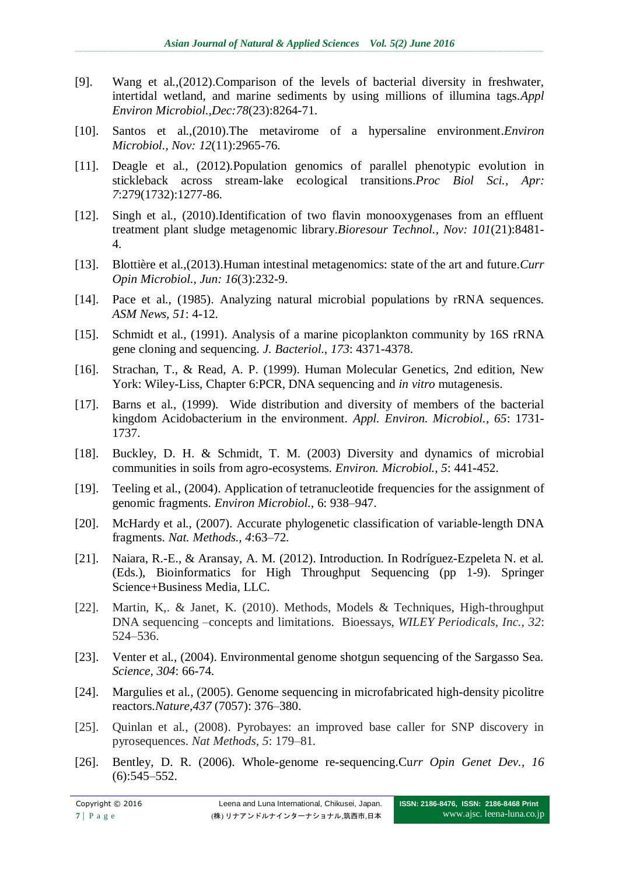- [9]. [Wang et al.,\(](http://www.ncbi.nlm.nih.gov/pubmed?term=Wang%20Y%5BAuthor%5D&cauthor=true&cauthor_uid=23001654)2012).Comparison of the levels of bacterial diversity in freshwater, intertidal wetland, and marine sediments by using millions of illumina tags.*[Appl](http://www.ncbi.nlm.nih.gov/pubmed/23001654)  [Environ Microbiol.,](http://www.ncbi.nlm.nih.gov/pubmed/23001654)Dec:78*(23):8264-71.
- [10]. Santos [et al.,\(](http://www.ncbi.nlm.nih.gov/pubmed?term=Santos%20F%5BAuthor%5D&cauthor=true&cauthor_uid=20561021)2010).The metavirome of a hypersaline environment.*[Environ](http://www.ncbi.nlm.nih.gov/pubmed/20561021)  [Microbiol.](http://www.ncbi.nlm.nih.gov/pubmed/20561021), Nov: 12*(11):2965-76.
- [11]. [Deagle et al.,](http://www.ncbi.nlm.nih.gov/pubmed?term=Deagle%20BE%5BAuthor%5D&cauthor=true&cauthor_uid=21976692) (2012).Population genomics of parallel phenotypic evolution in stickleback across stream-lake ecological transitions.*[Proc Biol Sci.,](http://www.ncbi.nlm.nih.gov/pubmed/21976692) Apr: 7*:279(1732):1277-86.
- [12]. Singh [et al.,](http://www.ncbi.nlm.nih.gov/pubmed?term=Singh%20A%5BAuthor%5D&cauthor=true&cauthor_uid=20591656) (2010).Identification of two flavin monooxygenases from an effluent treatment plant sludge metagenomic library.*[Bioresour Technol.,](http://www.ncbi.nlm.nih.gov/pubmed/20591656) Nov: 101*(21):8481- 4.
- [13]. [Blottière et al.,\(](http://www.ncbi.nlm.nih.gov/pubmed?term=Blotti%C3%A8re%20HM%5BAuthor%5D&cauthor=true&cauthor_uid=23870802)2013).Human intestinal metagenomics: state of the art and future.*[Curr](http://www.ncbi.nlm.nih.gov/pubmed/23870802)  [Opin Microbiol.](http://www.ncbi.nlm.nih.gov/pubmed/23870802), Jun: 16*(3):232-9.
- [14]. Pace et al., (1985). Analyzing natural microbial populations by rRNA sequences. *ASM News, 51*: 4-12.
- [15]. Schmidt et al., (1991). Analysis of a marine picoplankton community by 16S rRNA gene cloning and sequencing. *J. Bacteriol., 173*: 4371-4378.
- [16]. Strachan, T., & Read, A. P. (1999). Human Molecular Genetics, 2nd edition, New York: Wiley-Liss, Chapter 6:PCR, DNA sequencing and *in vitro* mutagenesis.
- [17]. Barns et al., (1999). Wide distribution and diversity of members of the bacterial kingdom Acidobacterium in the environment. *Appl. Environ. Microbiol., 65*: 1731- 1737.
- [18]. Buckley, D. H. & Schmidt, T. M. (2003) Diversity and dynamics of microbial communities in soils from agro-ecosystems. *Environ. Microbiol., 5*: 441-452.
- [19]. Teeling et al., (2004). Application of tetranucleotide frequencies for the assignment of genomic fragments. *Environ Microbiol.,* 6: 938–947.
- [20]. McHardy et al., (2007). Accurate phylogenetic classification of variable-length DNA fragments. *Nat. Methods., 4*:63–72.
- [21]. Naiara, R.-E., & Aransay, A. M. (2012). Introduction. In Rodríguez-Ezpeleta N. et al. (Eds.), Bioinformatics for High Throughput Sequencing (pp 1-9). Springer Science+Business Media, LLC.
- [22]. Martin, K,. & Janet, K. (2010). Methods, Models & Techniques, High-throughput DNA sequencing –concepts and limitations. Bioessays, *WILEY Periodicals, Inc., 32*: 524–536.
- [23]. Venter et al., (2004). Environmental genome shotgun sequencing of the Sargasso Sea. *Science, 304*: 66-74.
- [24]. Margulies et al., (2005). Genome sequencing in microfabricated high-density picolitre reactors.*Nature,437* (7057): 376–380.
- [25]. Quinlan et al., (2008). Pyrobayes: an improved base caller for SNP discovery in pyrosequences. *Nat Methods, 5*: 179–81.
- [26]. Bentley, D. R. (2006). Whole-genome re-sequencing.Cu*rr Opin Genet Dev., 16*   $(6):545 - 552.$